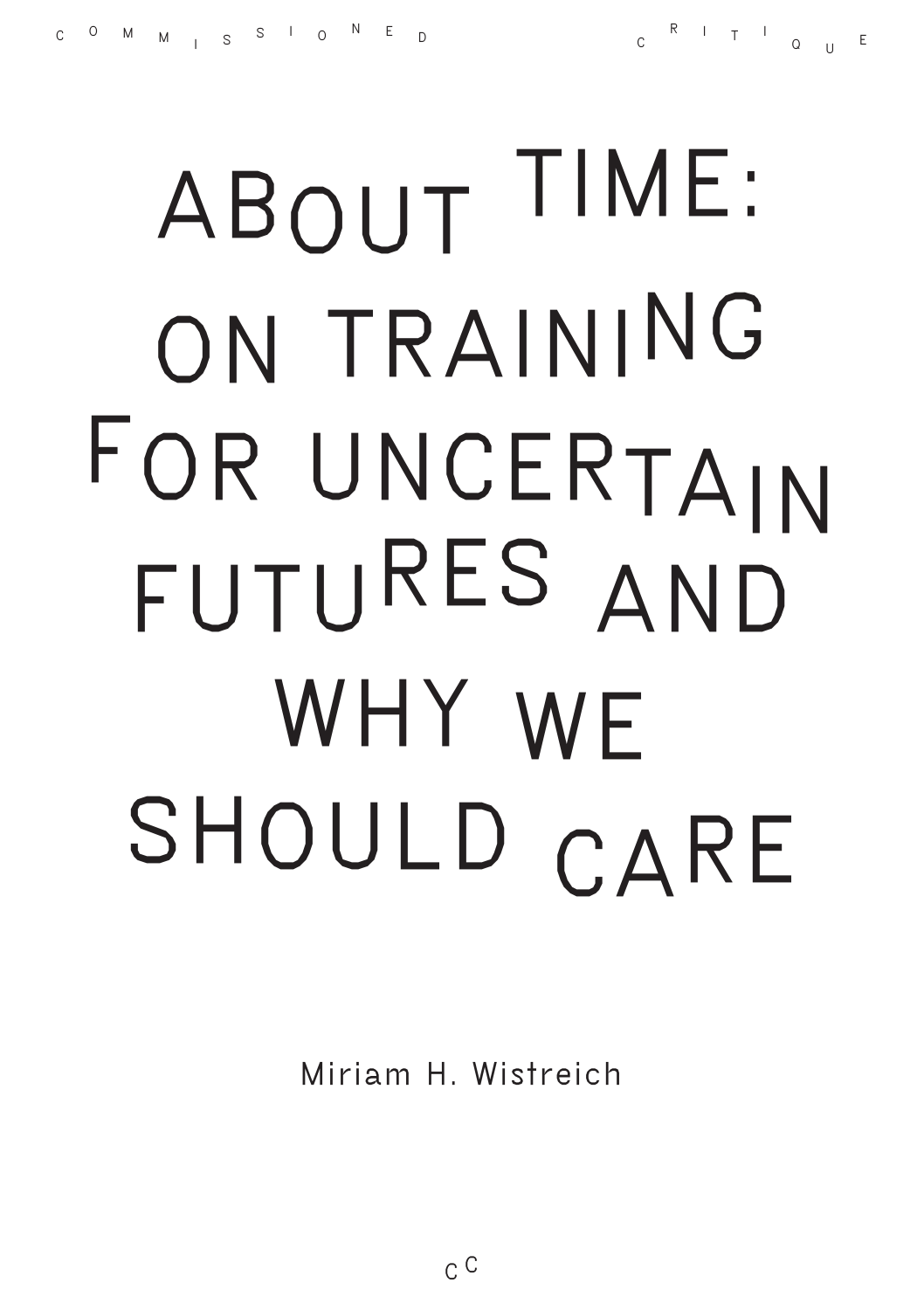## **ABOUT TIME: ON TRAINING FOR UNCERTAIN FUTURES AND WHY WE** SHOULD CARE

**Miriam H. Wistreich**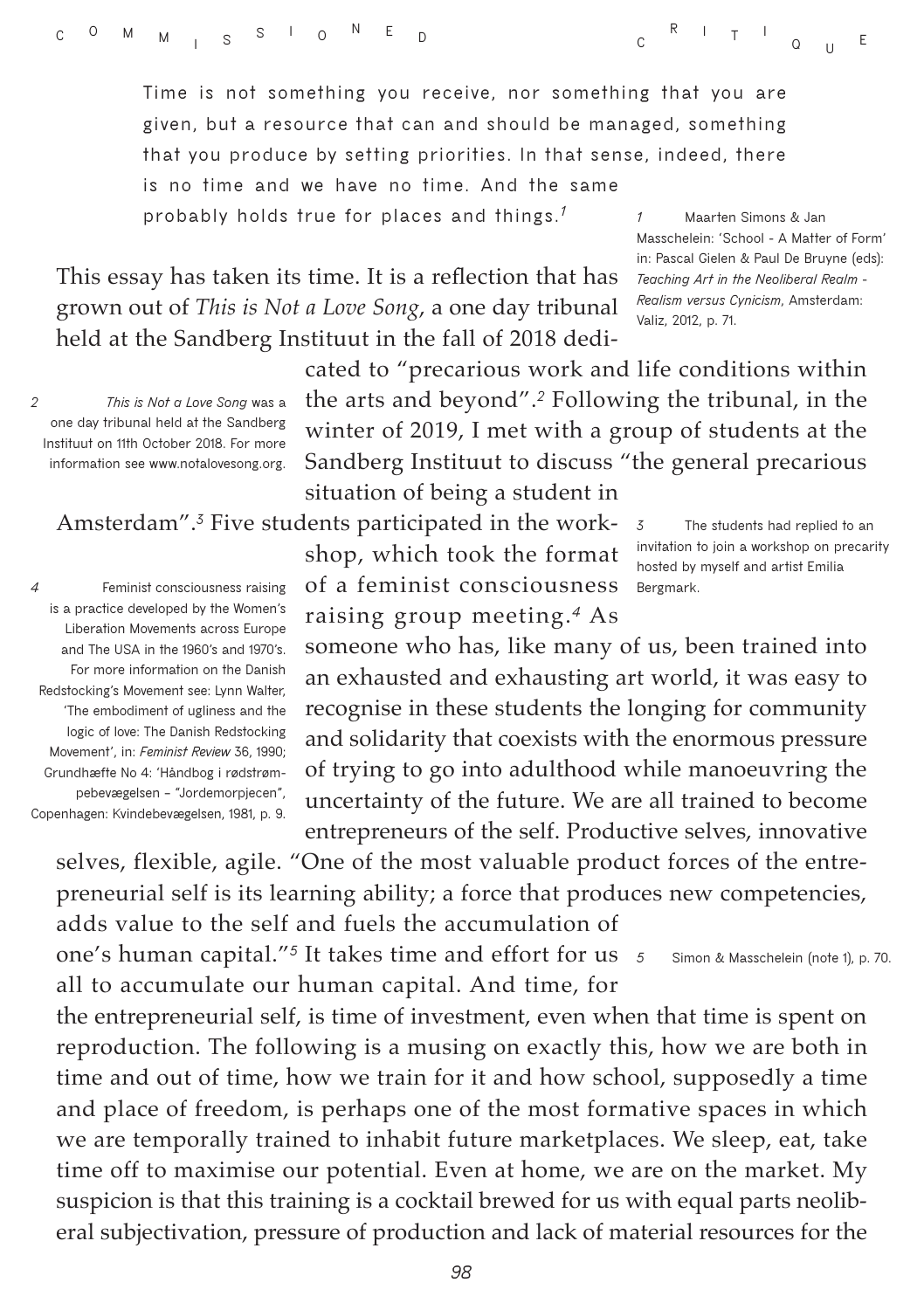**Time is not something you receive, nor something that you are given, but a resource that can and should be managed, something that you produce by setting priorities. In that sense, indeed, there is no time and we have no time. And the same probably holds true for places and things.***<sup>1</sup>*

This essay has taken its time. It is a reflection that has grown out of *This is Not a Love Song*, a one day tribunal held at the Sandberg Instituut in the fall of 2018 dedi-

*1* **Maarten Simons & Jan Masschelein: 'School - A Matter of Form' in: Pascal Gielen & Paul De Bruyne (eds):**  *Teaching Art in the Neoliberal Realm - Realism versus Cynicism***, Amsterdam: Valiz, 2012, p. 71.**

*2 This is Not a Love Song* **was a one day tribunal held at the Sandberg Instituut on 11th October 2018. For more information see www.notalovesong.org.**

**is a practice developed by the Women's Liberation Movements across Europe and The USA in the 1960's and 1970's. For more information on the Danish Redstocking's Movement see: Lynn Walter, 'The embodiment of ugliness and the logic of love: The Danish Redstocking Movement', in:** *Feminist Review* **36, 1990; Grundhæfte No 4: 'Håndbog i rødstrømpebevægelsen – "Jordemorpjecen", Copenhagen: Kvindebevægelsen, 1981, p. 9.**

cated to "precarious work and life conditions within the arts and beyond".*<sup>2</sup>* Following the tribunal, in the winter of 2019, I met with a group of students at the Sandberg Instituut to discuss "the general precarious situation of being a student in

Amsterdam".*3* Five students participated in the workshop, which took the format 4 Feminist consciousness raising  $\delta$  **d**  $\delta$  **feminist consciousness** Bergmark. raising group meeting.*<sup>4</sup>* As

*3* **The students had replied to an invitation to join a workshop on precarity hosted by myself and artist Emilia** 

someone who has, like many of us, been trained into an exhausted and exhausting art world, it was easy to recognise in these students the longing for community and solidarity that coexists with the enormous pressure of trying to go into adulthood while manoeuvring the uncertainty of the future. We are all trained to become entrepreneurs of the self. Productive selves, innovative

selves, flexible, agile. "One of the most valuable product forces of the entrepreneurial self is its learning ability; a force that produces new competencies, adds value to the self and fuels the accumulation of

one's human capital."*<sup>5</sup>* It takes time and effort for us all to accumulate our human capital. And time, for *5* **Simon & Masschelein (note 1), p. 70.**

the entrepreneurial self, is time of investment, even when that time is spent on reproduction. The following is a musing on exactly this, how we are both in time and out of time, how we train for it and how school, supposedly a time and place of freedom, is perhaps one of the most formative spaces in which we are temporally trained to inhabit future marketplaces. We sleep, eat, take time off to maximise our potential. Even at home, we are on the market. My suspicion is that this training is a cocktail brewed for us with equal parts neoliberal subjectivation, pressure of production and lack of material resources for the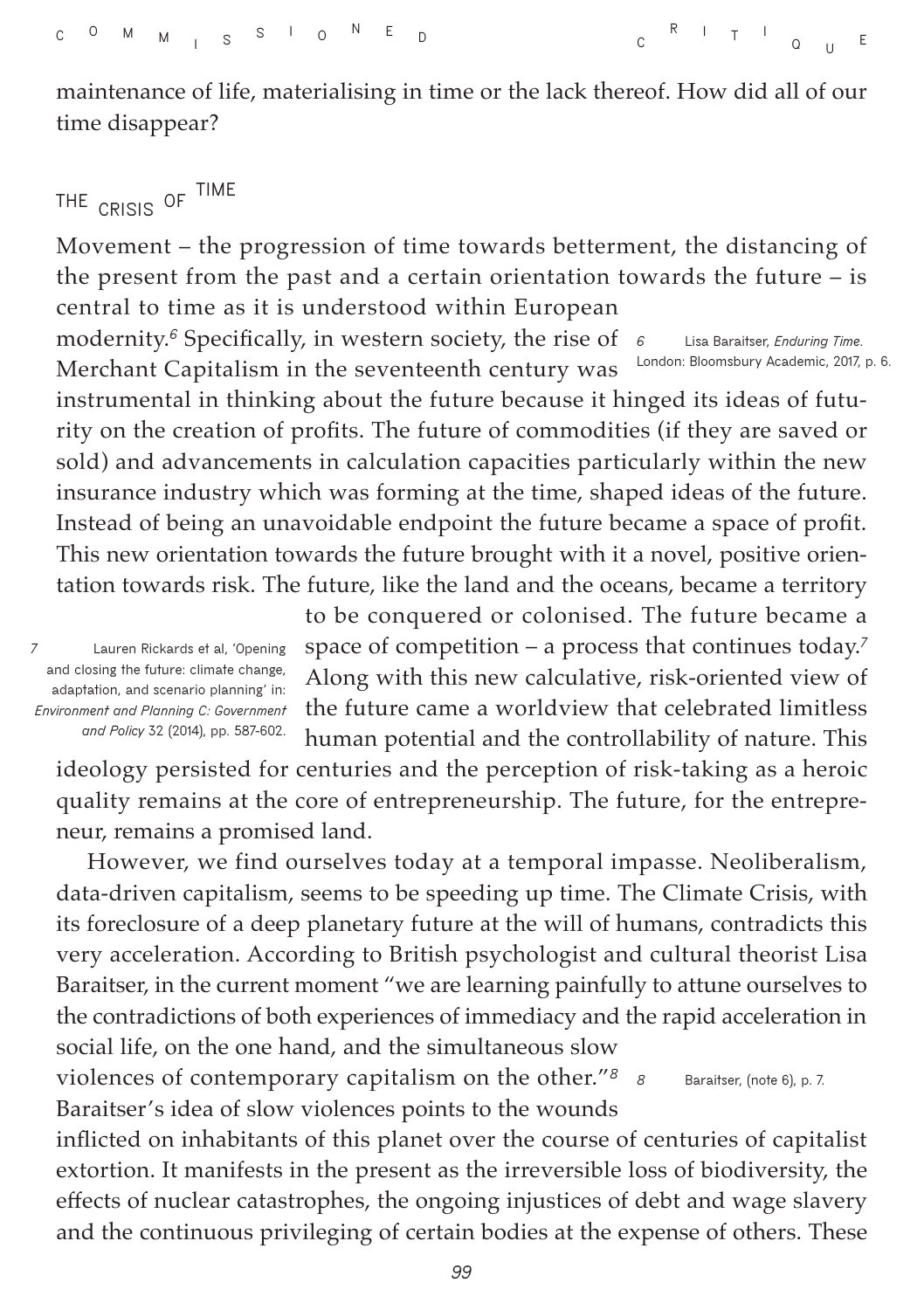maintenance of life, materialising in time or the lack thereof. How did all of our time disappear?

## **THE CRISIS OF TIME**

Movement – the progression of time towards betterment, the distancing of the present from the past and a certain orientation towards the future – is central to time as it is understood within European

modernity.<sup>6</sup> Specifically, in western society, the rise of  $\epsilon$ Merchant Capitalism in the seventeenth century was *6* **Lisa Baraitser,** *Enduring Time***. London: Bloomsbury Academic, 2017, p. 6.**

instrumental in thinking about the future because it hinged its ideas of futurity on the creation of profits. The future of commodities (if they are saved or sold) and advancements in calculation capacities particularly within the new insurance industry which was forming at the time, shaped ideas of the future. Instead of being an unavoidable endpoint the future became a space of profit. This new orientation towards the future brought with it a novel, positive orientation towards risk. The future, like the land and the oceans, became a territory

*7* **Lauren Rickards et al, 'Opening and closing the future: climate change, adaptation, and scenario planning' in:**  *Environment and Planning C: Government and Policy* **32 (2014), pp. 587-602.**

to be conquered or colonised. The future became a space of competition – a process that continues today.*<sup>7</sup>* Along with this new calculative, risk-oriented view of the future came a worldview that celebrated limitless human potential and the controllability of nature. This

ideology persisted for centuries and the perception of risk-taking as a heroic quality remains at the core of entrepreneurship. The future, for the entrepreneur, remains a promised land.

*8* **Baraitser, (note 6), p. 7.**  However, we find ourselves today at a temporal impasse. Neoliberalism, data-driven capitalism, seems to be speeding up time. The Climate Crisis, with its foreclosure of a deep planetary future at the will of humans, contradicts this very acceleration. According to British psychologist and cultural theorist Lisa Baraitser, in the current moment "we are learning painfully to attune ourselves to the contradictions of both experiences of immediacy and the rapid acceleration in social life, on the one hand, and the simultaneous slow violences of contemporary capitalism on the other."*<sup>8</sup>*

Baraitser's idea of slow violences points to the wounds

inflicted on inhabitants of this planet over the course of centuries of capitalist extortion. It manifests in the present as the irreversible loss of biodiversity, the effects of nuclear catastrophes, the ongoing injustices of debt and wage slavery and the continuous privileging of certain bodies at the expense of others. These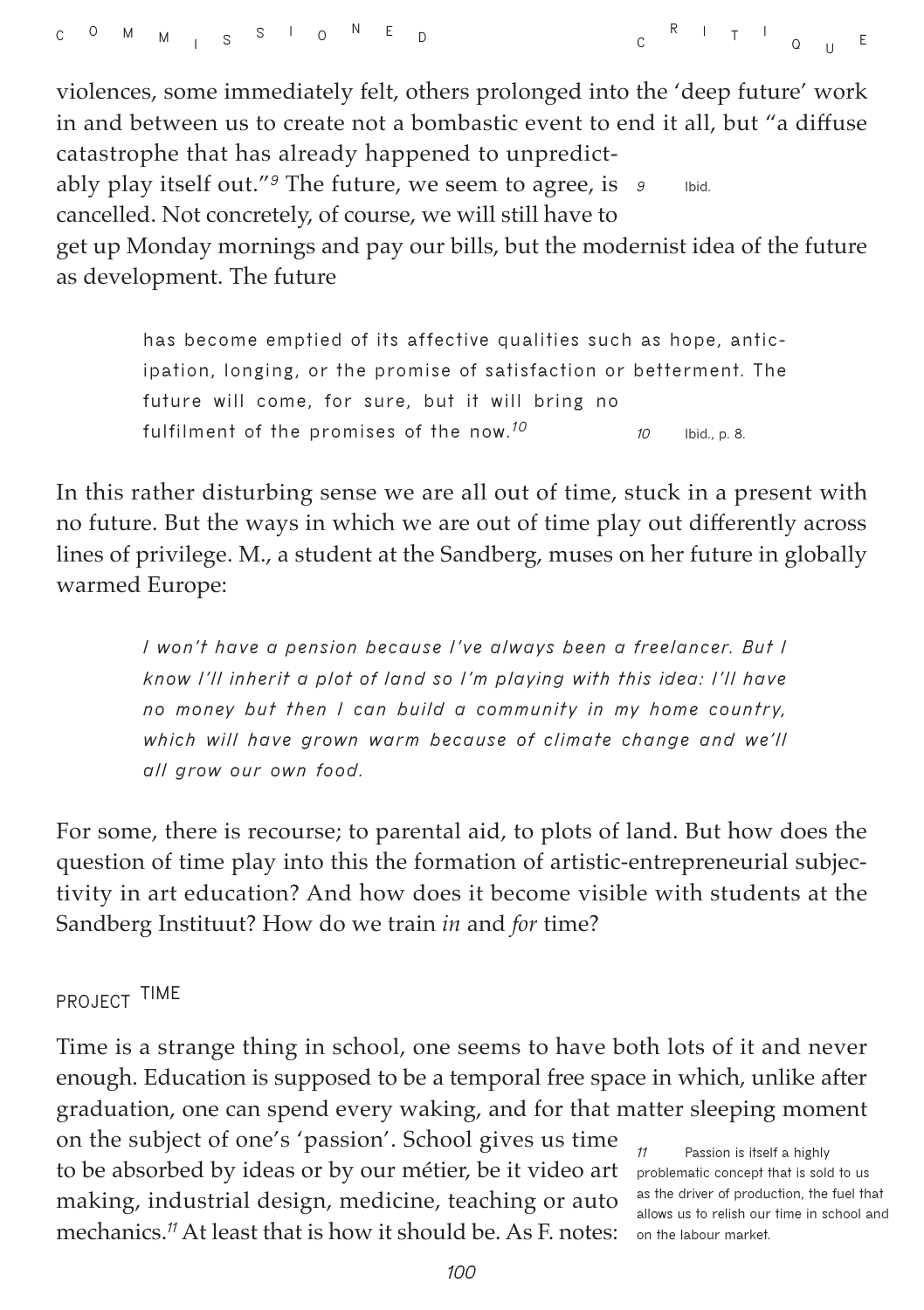violences, some immediately felt, others prolonged into the 'deep future' work in and between us to create not a bombastic event to end it all, but "a diffuse catastrophe that has already happened to unpredictably play itself out."<sup>9</sup> The future, we seem to agree, is  $\theta$ cancelled. Not concretely, of course, we will still have to *9* **Ibid.**

get up Monday mornings and pay our bills, but the modernist idea of the future as development. The future

> **has become emptied of its affective qualities such as hope, anticipation, longing, or the promise of satisfaction or betterment. The future will come, for sure, but it will bring no fulfilment of the promises of the now.***<sup>10</sup> 10* **Ibid., p. 8.**

In this rather disturbing sense we are all out of time, stuck in a present with no future. But the ways in which we are out of time play out differently across lines of privilege. M., a student at the Sandberg, muses on her future in globally warmed Europe:

> *I won't have a pension because I've always been a freelancer. But I know I'll inherit a plot of land so I'm playing with this idea: I'll have no money but then I can build a community in my home country, which will have grown warm because of climate change and we'll all grow our own food.*

For some, there is recourse; to parental aid, to plots of land. But how does the question of time play into this the formation of artistic-entrepreneurial subjectivity in art education? And how does it become visible with students at the Sandberg Instituut? How do we train *in* and *for* time?

**PROJECT TIME**

Time is a strange thing in school, one seems to have both lots of it and never enough. Education is supposed to be a temporal free space in which, unlike after graduation, one can spend every waking, and for that matter sleeping moment

on the subject of one's 'passion'. School gives us time to be absorbed by ideas or by our métier, be it video art making, industrial design, medicine, teaching or auto mechanics.*<sup>11</sup>* At least that is how it should be. As F. notes:

*11* **Passion is itself a highly problematic concept that is sold to us as the driver of production, the fuel that allows us to relish our time in school and on the labour market.**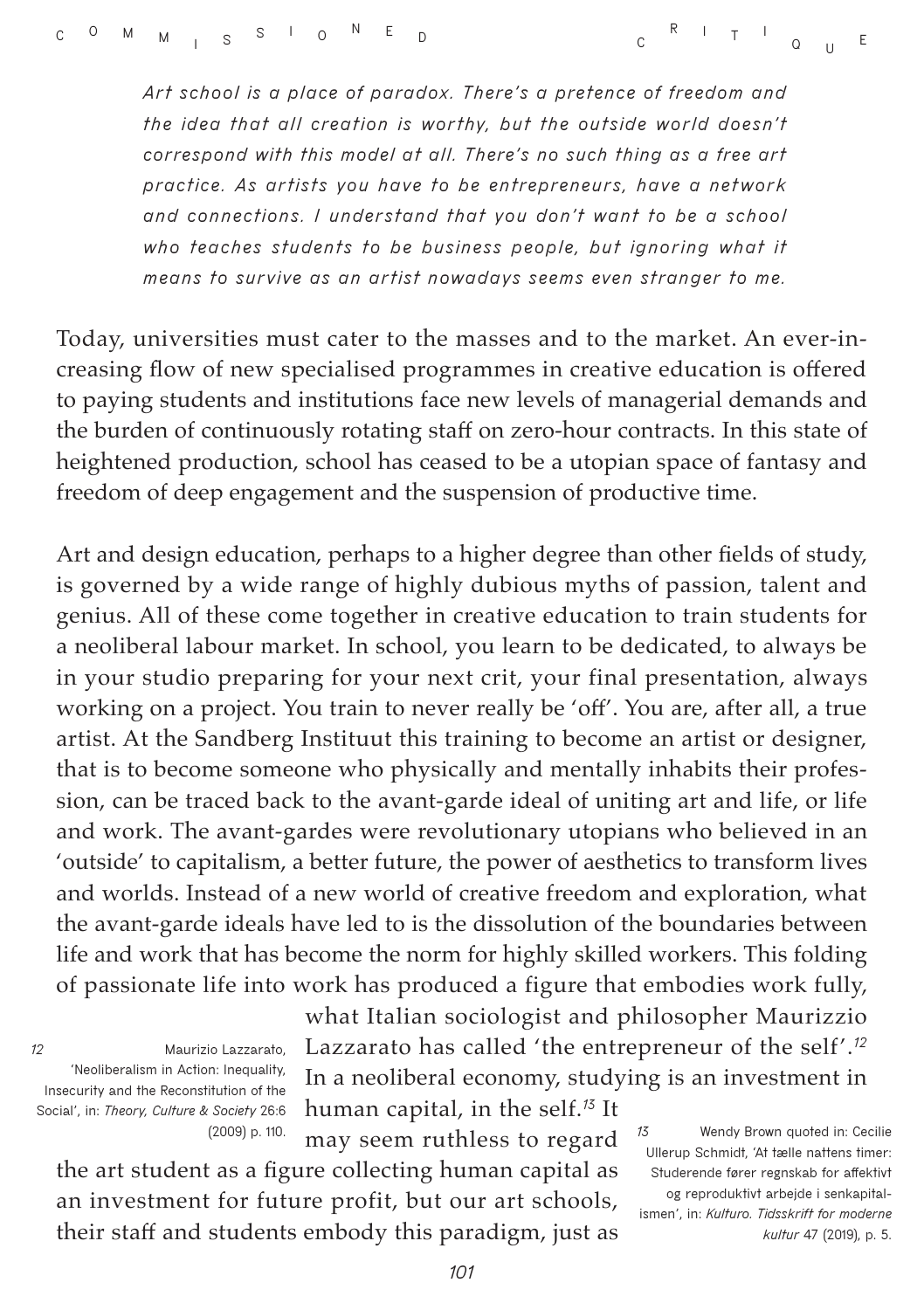*Art school is a place of paradox. There's a pretence of freedom and the idea that all creation is worthy, but the outside world doesn't correspond with this model at all. There's no such thing as a free art practice. As artists you have to be entrepreneurs, have a network and connections. I understand that you don't want to be a school who teaches students to be business people, but ignoring what it means to survive as an artist nowadays seems even stranger to me.*

Today, universities must cater to the masses and to the market. An ever-increasing flow of new specialised programmes in creative education is offered to paying students and institutions face new levels of managerial demands and the burden of continuously rotating staff on zero-hour contracts. In this state of heightened production, school has ceased to be a utopian space of fantasy and freedom of deep engagement and the suspension of productive time.

Art and design education, perhaps to a higher degree than other fields of study, is governed by a wide range of highly dubious myths of passion, talent and genius. All of these come together in creative education to train students for a neoliberal labour market. In school, you learn to be dedicated, to always be in your studio preparing for your next crit, your final presentation, always working on a project. You train to never really be 'off'. You are, after all, a true artist. At the Sandberg Instituut this training to become an artist or designer, that is to become someone who physically and mentally inhabits their profession, can be traced back to the avant-garde ideal of uniting art and life, or life and work. The avant-gardes were revolutionary utopians who believed in an 'outside' to capitalism, a better future, the power of aesthetics to transform lives and worlds. Instead of a new world of creative freedom and exploration, what the avant-garde ideals have led to is the dissolution of the boundaries between life and work that has become the norm for highly skilled workers. This folding of passionate life into work has produced a figure that embodies work fully,

*12* **Maurizio Lazzarato, 'Neoliberalism in Action: Inequality, Insecurity and the Reconstitution of the Social', in:** *Theory, Culture & Society* **26:6** 

what Italian sociologist and philosopher Maurizzio Lazzarato has called 'the entrepreneur of the self'.*<sup>12</sup>* In a neoliberal economy, studying is an investment in human capital, in the self.*<sup>13</sup>* It

may seem ruthless to regard **(2009) p. 110.** *13* **Wendy Brown quoted in: Cecilie** 

the art student as a figure collecting human capital as an investment for future profit, but our art schools, their staff and students embody this paradigm, just as

**Ullerup Schmidt, 'At tælle nattens timer: Studerende fører regnskab for affektivt og reproduktivt arbejde i senkapitalismen', in:** *Kulturo. Tidsskrift for moderne kultur* **47 (2019), p. 5.**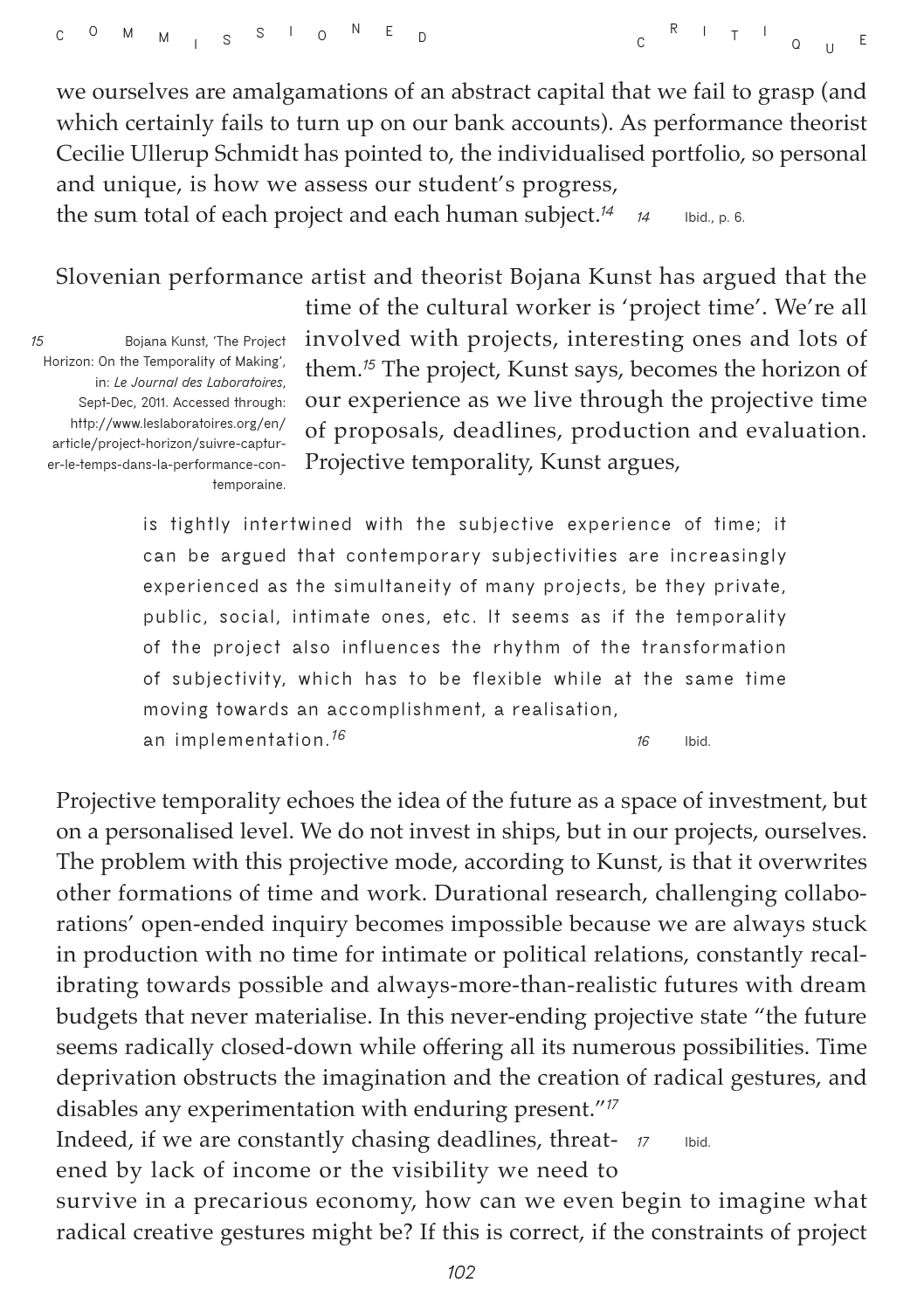we ourselves are amalgamations of an abstract capital that we fail to grasp (and which certainly fails to turn up on our bank accounts). As performance theorist Cecilie Ullerup Schmidt has pointed to, the individualised portfolio, so personal and unique, is how we assess our student's progress,

the sum total of each project and each human subject.*<sup>14</sup> 14* **Ibid., p. 6.**

Slovenian performance artist and theorist Bojana Kunst has argued that the

*15* **Bojana Kunst, 'The Project Horizon: On the Temporality of Making', in:** *Le Journal des Laboratoires***, Sept-Dec, 2011. Accessed through: [http://www.leslaboratoires.org/en/](http://www.leslaboratoires.org/en/article/project-horizon/suivre-capturer-le-temps-dans-la-performan) [article/project-horizon/suivre-captur](http://www.leslaboratoires.org/en/article/project-horizon/suivre-capturer-le-temps-dans-la-performan)[er-le-temps-dans-la-performance-con](http://www.leslaboratoires.org/en/article/project-horizon/suivre-capturer-le-temps-dans-la-performan)[temporaine.](http://www.leslaboratoires.org/en/article/project-horizon/suivre-capturer-le-temps-dans-la-performan)**

time of the cultural worker is 'project time'. We're all involved with projects, interesting ones and lots of them.*<sup>15</sup>* The project, Kunst says, becomes the horizon of our experience as we live through the projective time of proposals, deadlines, production and evaluation. Projective temporality, Kunst argues,

**is tightly intertwined with the subjective experience of time; it can be argued that contemporary subjectivities are increasingly experienced as the simultaneity of many projects, be they private, public, social, intimate ones, etc. It seems as if the temporality of the project also influences the rhythm of the transformation of subjectivity, which has to be flexible while at the same time moving towards an accomplishment, a realisation, an implementation.***<sup>16</sup> 16* **Ibid.** 

Projective temporality echoes the idea of the future as a space of investment, but on a personalised level. We do not invest in ships, but in our projects, ourselves. The problem with this projective mode, according to Kunst, is that it overwrites other formations of time and work. Durational research, challenging collaborations' open-ended inquiry becomes impossible because we are always stuck in production with no time for intimate or political relations, constantly recalibrating towards possible and always-more-than-realistic futures with dream budgets that never materialise. In this never-ending projective state "the future seems radically closed-down while offering all its numerous possibilities. Time deprivation obstructs the imagination and the creation of radical gestures, and disables any experimentation with enduring present."*<sup>17</sup>* Indeed, if we are constantly chasing deadlines, threat-  $\pi$ ened by lack of income or the visibility we need to *17* **Ibid.**

survive in a precarious economy, how can we even begin to imagine what radical creative gestures might be? If this is correct, if the constraints of project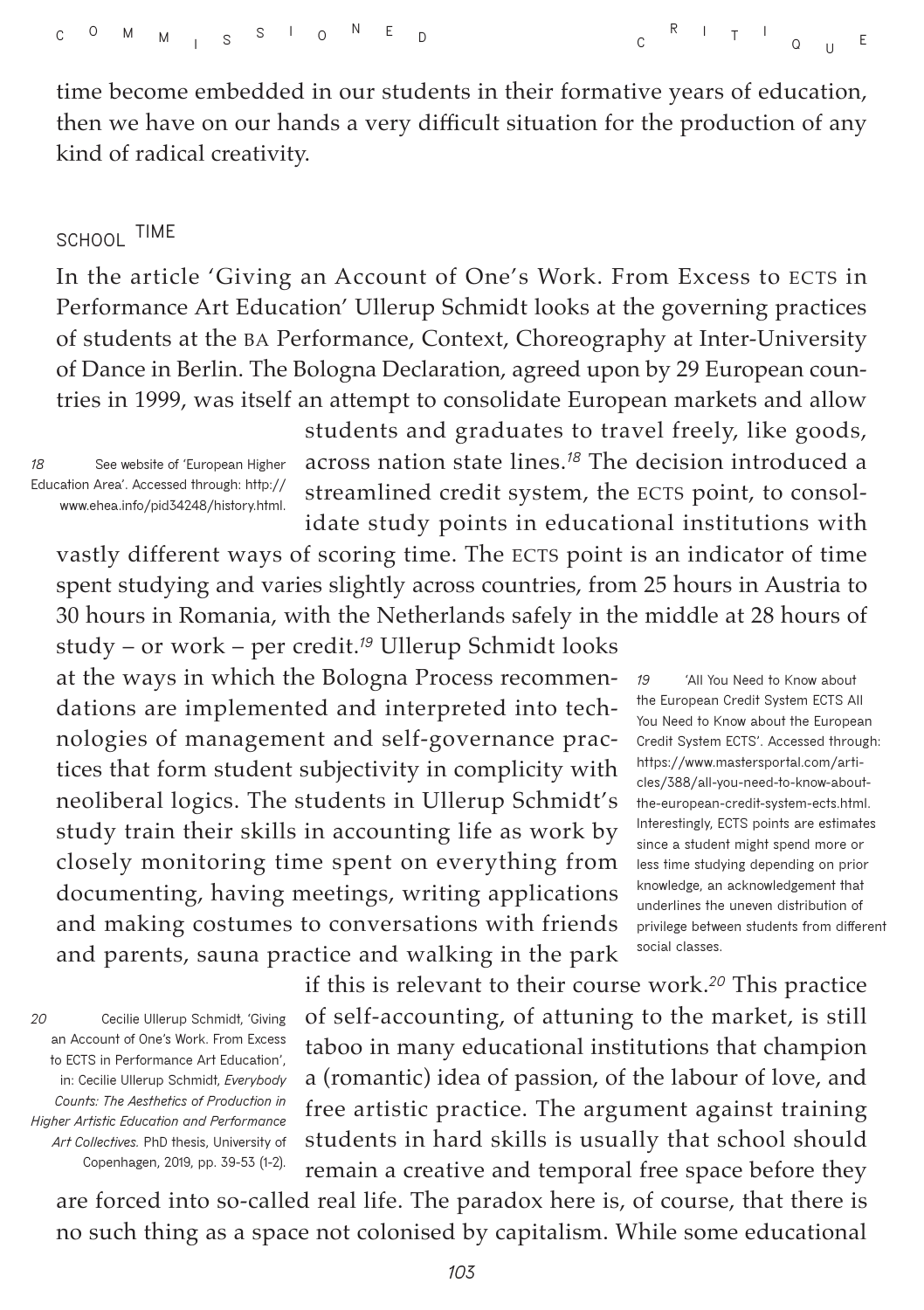time become embedded in our students in their formative years of education, then we have on our hands a very difficult situation for the production of any kind of radical creativity.

## **SCHOOL TIME**

In the article 'Giving an Account of One's Work. From Excess to ECTS in Performance Art Education' Ullerup Schmidt looks at the governing practices of students at the BA Performance, Context, Choreography at Inter-University of Dance in Berlin. The Bologna Declaration, agreed upon by 29 European countries in 1999, was itself an attempt to consolidate European markets and allow

*18* **See website of 'European Higher Education Area'. Accessed through: [http://](http://www.ehea.info/pid34248/history.html) [www.ehea.info/pid34248/history.html.](http://www.ehea.info/pid34248/history.html)** students and graduates to travel freely, like goods, across nation state lines.*<sup>18</sup>* The decision introduced a streamlined credit system, the ECTS point, to consolidate study points in educational institutions with

vastly different ways of scoring time. The ECTS point is an indicator of time spent studying and varies slightly across countries, from 25 hours in Austria to 30 hours in Romania, with the Netherlands safely in the middle at 28 hours of study – or work – per credit.*<sup>19</sup>* Ullerup Schmidt looks

at the ways in which the Bologna Process recommendations are implemented and interpreted into technologies of management and self-governance practices that form student subjectivity in complicity with neoliberal logics. The students in Ullerup Schmidt's study train their skills in accounting life as work by closely monitoring time spent on everything from documenting, having meetings, writing applications and making costumes to conversations with friends and parents, sauna practice and walking in the park

*19* **'All You Need to Know about the European Credit System ECTS All You Need to Know about the European Credit System ECTS'. Accessed through: [https://www.mastersportal.com/arti](https://www.mastersportal.com/articles/388/all-you-need-to-know-about-the-european-credit-system-ect)[cles/388/all-you-need-to-know-about](https://www.mastersportal.com/articles/388/all-you-need-to-know-about-the-european-credit-system-ect)[the-european-credit-system-ects.html](https://www.mastersportal.com/articles/388/all-you-need-to-know-about-the-european-credit-system-ect). Interestingly, ECTS points are estimates since a student might spend more or less time studying depending on prior knowledge, an acknowledgement that underlines the uneven distribution of privilege between students from different social classes.** 

*20* **Cecilie Ullerup Schmidt, 'Giving an Account of One's Work. From Excess to ECTS in Performance Art Education', in: Cecilie Ullerup Schmidt,** *Everybody Counts: The Aesthetics of Production in Higher Artistic Education and Performance Art Collectives.* **PhD thesis, University of Copenhagen, 2019, pp. 39-53 (1-2).**

if this is relevant to their course work.*<sup>20</sup>* This practice of self-accounting, of attuning to the market, is still taboo in many educational institutions that champion a (romantic) idea of passion, of the labour of love, and free artistic practice. The argument against training students in hard skills is usually that school should remain a creative and temporal free space before they

are forced into so-called real life. The paradox here is, of course, that there is no such thing as a space not colonised by capitalism. While some educational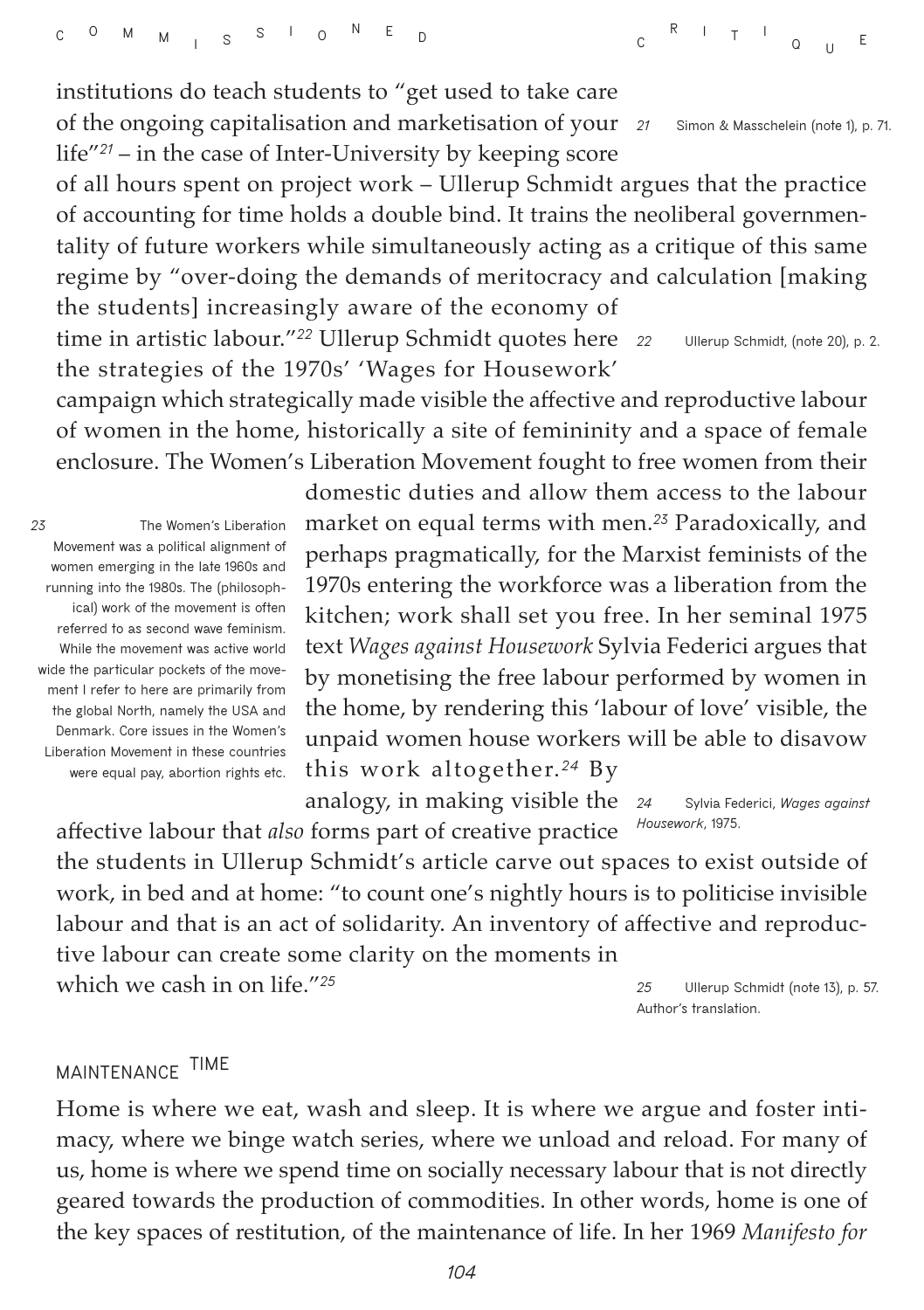institutions do teach students to "get used to take care of the ongoing capitalisation and marketisation of your life"*<sup>21</sup>* – in the case of Inter-University by keeping score *21* **Simon & Masschelein (note 1), p. 71.**

of all hours spent on project work – Ullerup Schmidt argues that the practice of accounting for time holds a double bind. It trains the neoliberal governmentality of future workers while simultaneously acting as a critique of this same regime by "over-doing the demands of meritocracy and calculation [making the students] increasingly aware of the economy of time in artistic labour."*<sup>22</sup>* Ullerup Schmidt quotes here the strategies of the 1970s' 'Wages for Housework' *22* **Ullerup Schmidt, (note 20), p. 2.**

campaign which strategically made visible the affective and reproductive labour of women in the home, historically a site of femininity and a space of female enclosure. The Women's Liberation Movement fought to free women from their

*23* **The Women's Liberation Movement was a political alignment of women emerging in the late 1960s and running into the 1980s. The (philosophical) work of the movement is often referred to as second wave feminism. While the movement was active world wide the particular pockets of the movement I refer to here are primarily from the global North, namely the USA and Denmark. Core issues in the Women's Liberation Movement in these countries were equal pay, abortion rights etc.**

domestic duties and allow them access to the labour market on equal terms with men.*<sup>23</sup>* Paradoxically, and perhaps pragmatically, for the Marxist feminists of the 1970s entering the workforce was a liberation from the kitchen; work shall set you free. In her seminal 1975 text *Wages against Housework* Sylvia Federici argues that by monetising the free labour performed by women in the home, by rendering this 'labour of love' visible, the unpaid women house workers will be able to disavow this work altogether. *<sup>24</sup>* By

analogy, in making visible the affective labour that *also* forms part of creative practice *24* **Sylvia Federici,** *Wages against Housework***, 1975.**

the students in Ullerup Schmidt's article carve out spaces to exist outside of work, in bed and at home: "to count one's nightly hours is to politicise invisible labour and that is an act of solidarity. An inventory of affective and reproductive labour can create some clarity on the moments in which we cash in on life."*<sup>25</sup>*

*25* **Ullerup Schmidt (note 13), p. 57. Author's translation.**

## **MAINTENANCE TIME**

Home is where we eat, wash and sleep. It is where we argue and foster intimacy, where we binge watch series, where we unload and reload. For many of us, home is where we spend time on socially necessary labour that is not directly geared towards the production of commodities. In other words, home is one of the key spaces of restitution, of the maintenance of life. In her 1969 *Manifesto for*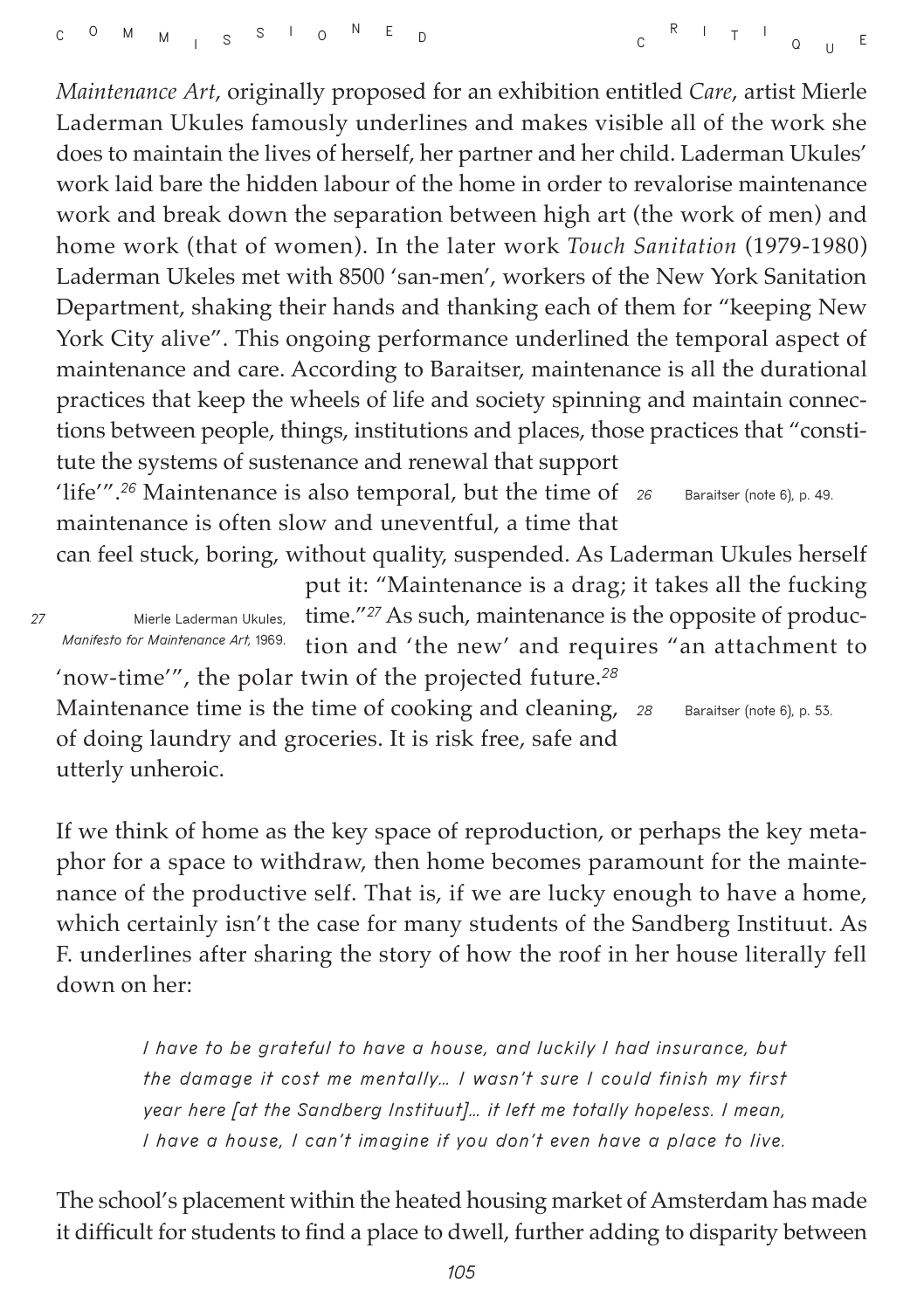*Maintenance Art*, originally proposed for an exhibition entitled *Care*, artist Mierle Laderman Ukules famously underlines and makes visible all of the work she does to maintain the lives of herself, her partner and her child. Laderman Ukules' work laid bare the hidden labour of the home in order to revalorise maintenance work and break down the separation between high art (the work of men) and home work (that of women). In the later work *Touch Sanitation* (1979-1980) Laderman Ukeles met with 8500 'san-men', workers of the New York Sanitation Department, shaking their hands and thanking each of them for "keeping New York City alive". This ongoing performance underlined the temporal aspect of maintenance and care. According to Baraitser, maintenance is all the durational practices that keep the wheels of life and society spinning and maintain connections between people, things, institutions and places, those practices that "constitute the systems of sustenance and renewal that support

'life'".*<sup>26</sup>* Maintenance is also temporal, but the time of maintenance is often slow and uneventful, a time that *26* **Baraitser (note 6), p. 49.**

can feel stuck, boring, without quality, suspended. As Laderman Ukules herself

*27* **Mierle Laderman Ukules,**  *Manifesto for Maintenance Art,* **1969.**

put it: "Maintenance is a drag; it takes all the fucking time."<sup>27</sup> As such, maintenance is the opposite of production and 'the new' and requires "an attachment to 'now-time'", the polar twin of the projected future.*<sup>28</sup>*

Maintenance time is the time of cooking and cleaning, 28 of doing laundry and groceries. It is risk free, safe and utterly unheroic. *28* **Baraitser (note 6), p. 53.** 

If we think of home as the key space of reproduction, or perhaps the key metaphor for a space to withdraw, then home becomes paramount for the maintenance of the productive self. That is, if we are lucky enough to have a home, which certainly isn't the case for many students of the Sandberg Instituut. As F. underlines after sharing the story of how the roof in her house literally fell down on her:

> *I have to be grateful to have a house, and luckily I had insurance, but the damage it cost me mentally… I wasn't sure I could finish my first year here [at the Sandberg Instituut]… it left me totally hopeless. I mean, I have a house, I can't imagine if you don't even have a place to live.*

The school's placement within the heated housing market of Amsterdam has made it difficult for students to find a place to dwell, further adding to disparity between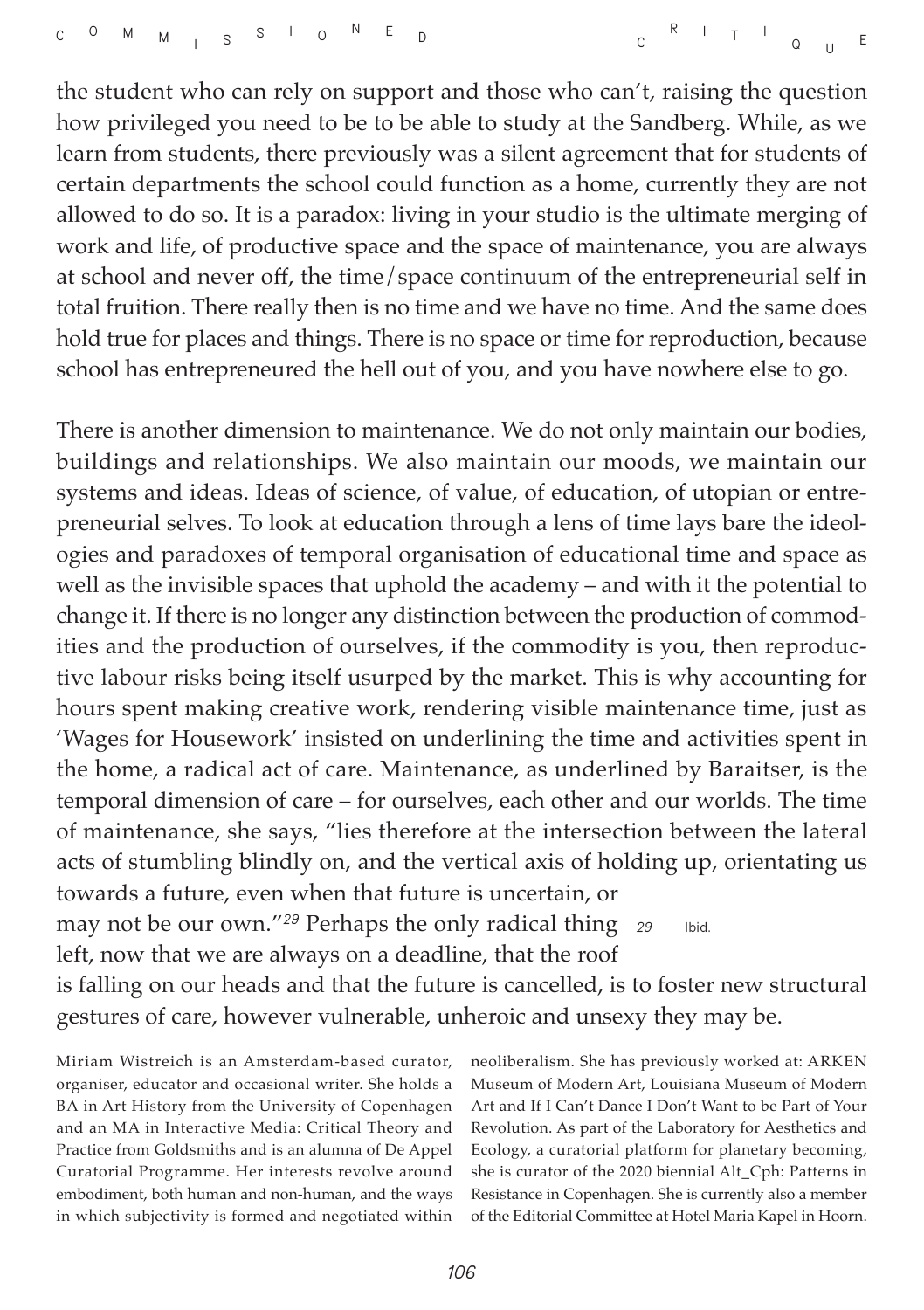the student who can rely on support and those who can't, raising the question how privileged you need to be to be able to study at the Sandberg. While, as we learn from students, there previously was a silent agreement that for students of certain departments the school could function as a home, currently they are not allowed to do so. It is a paradox: living in your studio is the ultimate merging of work and life, of productive space and the space of maintenance, you are always at school and never off, the time/space continuum of the entrepreneurial self in total fruition. There really then is no time and we have no time. And the same does hold true for places and things. There is no space or time for reproduction, because school has entrepreneured the hell out of you, and you have nowhere else to go.

There is another dimension to maintenance. We do not only maintain our bodies, buildings and relationships. We also maintain our moods, we maintain our systems and ideas. Ideas of science, of value, of education, of utopian or entrepreneurial selves. To look at education through a lens of time lays bare the ideologies and paradoxes of temporal organisation of educational time and space as well as the invisible spaces that uphold the academy – and with it the potential to change it. If there is no longer any distinction between the production of commodities and the production of ourselves, if the commodity is you, then reproductive labour risks being itself usurped by the market. This is why accounting for hours spent making creative work, rendering visible maintenance time, just as 'Wages for Housework' insisted on underlining the time and activities spent in the home, a radical act of care. Maintenance, as underlined by Baraitser, is the temporal dimension of care – for ourselves, each other and our worlds. The time of maintenance, she says, "lies therefore at the intersection between the lateral acts of stumbling blindly on, and the vertical axis of holding up, orientating us towards a future, even when that future is uncertain, or

may not be our own."*<sup>29</sup>* Perhaps the only radical thing left, now that we are always on a deadline, that the roof *29* **Ibid.**

is falling on our heads and that the future is cancelled, is to foster new structural gestures of care, however vulnerable, unheroic and unsexy they may be.

Miriam Wistreich is an Amsterdam-based curator, organiser, educator and occasional writer. She holds a BA in Art History from the University of Copenhagen and an MA in Interactive Media: Critical Theory and Practice from Goldsmiths and is an alumna of De Appel Curatorial Programme. Her interests revolve around embodiment, both human and non-human, and the ways in which subjectivity is formed and negotiated within

neoliberalism. She has previously worked at: ARKEN Museum of Modern Art, Louisiana Museum of Modern Art and If I Can't Dance I Don't Want to be Part of Your Revolution. As part of the Laboratory for Aesthetics and Ecology, a curatorial platform for planetary becoming, she is curator of the 2020 biennial Alt\_Cph: Patterns in Resistance in Copenhagen. She is currently also a member of the Editorial Committee at Hotel Maria Kapel in Hoorn.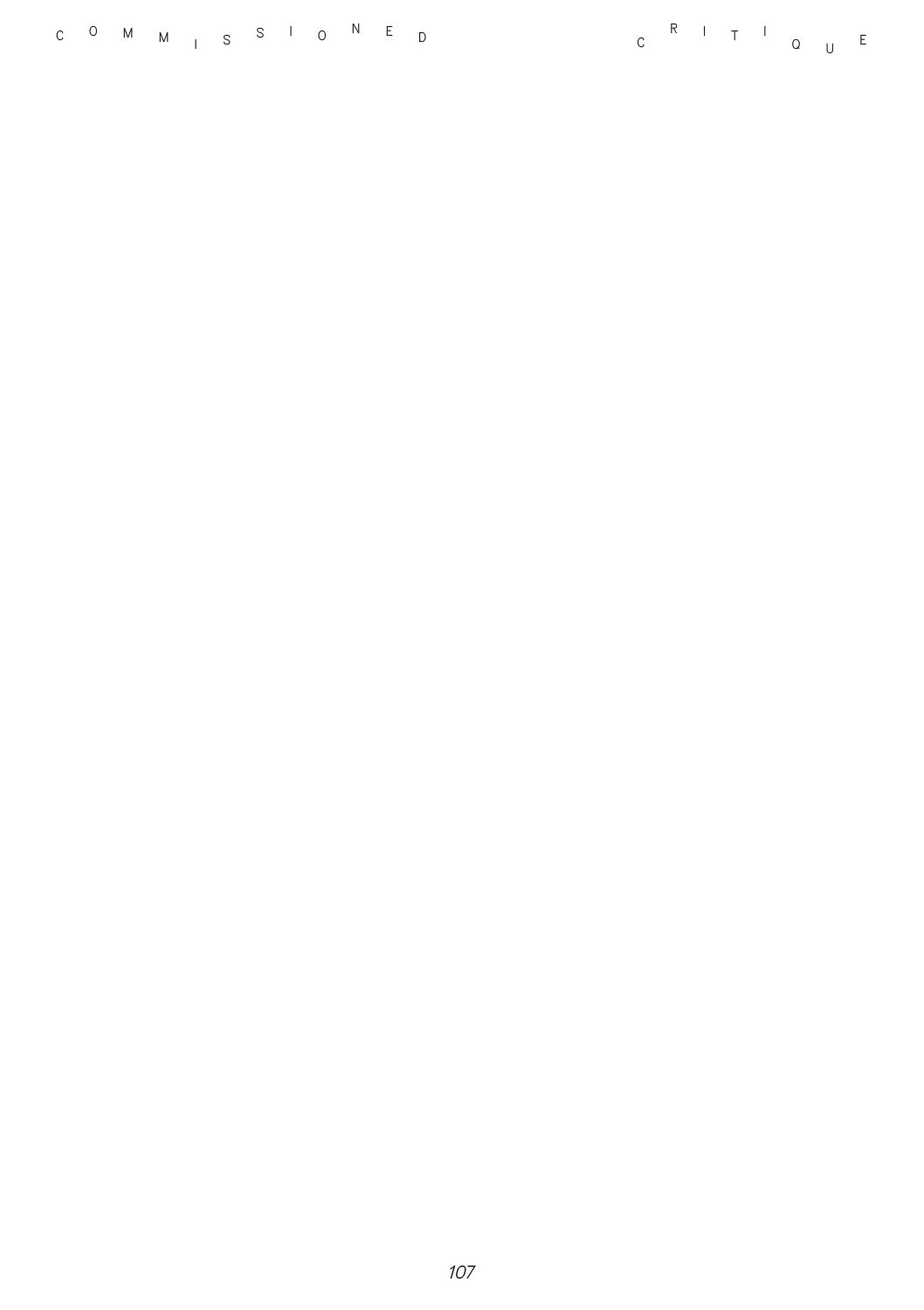|  |  |  |  |  |  |  |  |  | C <sup>O</sup> M <sub>M I</sub> S <sup>S</sup> I O <sup>N</sup> E <sub>D</sub> |  |  | C R I T I Q U E |  |  |  |  |  |  |  |
|--|--|--|--|--|--|--|--|--|--------------------------------------------------------------------------------|--|--|-----------------|--|--|--|--|--|--|--|
|--|--|--|--|--|--|--|--|--|--------------------------------------------------------------------------------|--|--|-----------------|--|--|--|--|--|--|--|